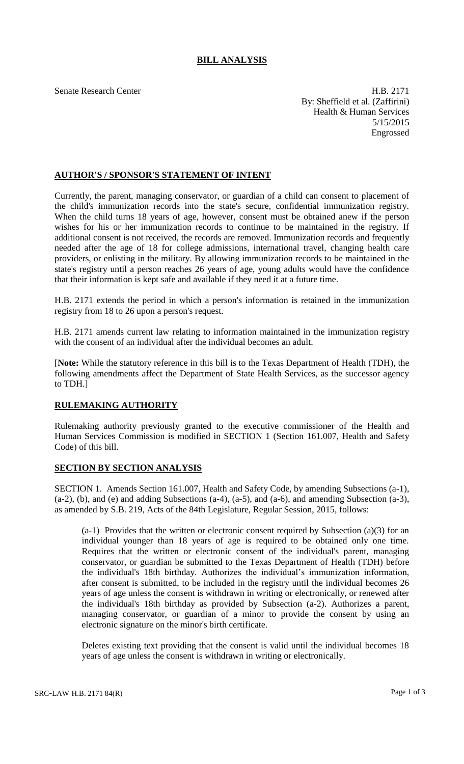## **BILL ANALYSIS**

Senate Research Center **H.B. 2171** By: Sheffield et al. (Zaffirini) Health & Human Services 5/15/2015 Engrossed

## **AUTHOR'S / SPONSOR'S STATEMENT OF INTENT**

Currently, the parent, managing conservator, or guardian of a child can consent to placement of the child's immunization records into the state's secure, confidential immunization registry. When the child turns 18 years of age, however, consent must be obtained anew if the person wishes for his or her immunization records to continue to be maintained in the registry. If additional consent is not received, the records are removed. Immunization records and frequently needed after the age of 18 for college admissions, international travel, changing health care providers, or enlisting in the military. By allowing immunization records to be maintained in the state's registry until a person reaches 26 years of age, young adults would have the confidence that their information is kept safe and available if they need it at a future time.

H.B. 2171 extends the period in which a person's information is retained in the immunization registry from 18 to 26 upon a person's request.

H.B. 2171 amends current law relating to information maintained in the immunization registry with the consent of an individual after the individual becomes an adult.

[**Note:** While the statutory reference in this bill is to the Texas Department of Health (TDH), the following amendments affect the Department of State Health Services, as the successor agency to TDH.]

## **RULEMAKING AUTHORITY**

Rulemaking authority previously granted to the executive commissioner of the Health and Human Services Commission is modified in SECTION 1 (Section 161.007, Health and Safety Code) of this bill.

## **SECTION BY SECTION ANALYSIS**

SECTION 1. Amends Section 161.007, Health and Safety Code, by amending Subsections (a-1),  $(a-2)$ , (b), and (e) and adding Subsections  $(a-4)$ ,  $(a-5)$ , and  $(a-6)$ , and amending Subsection  $(a-3)$ , as amended by S.B. 219, Acts of the 84th Legislature, Regular Session, 2015, follows:

(a-1) Provides that the written or electronic consent required by Subsection (a)(3) for an individual younger than 18 years of age is required to be obtained only one time. Requires that the written or electronic consent of the individual's parent, managing conservator, or guardian be submitted to the Texas Department of Health (TDH) before the individual's 18th birthday. Authorizes the individual's immunization information, after consent is submitted, to be included in the registry until the individual becomes 26 years of age unless the consent is withdrawn in writing or electronically, or renewed after the individual's 18th birthday as provided by Subsection (a-2). Authorizes a parent, managing conservator, or guardian of a minor to provide the consent by using an electronic signature on the minor's birth certificate.

Deletes existing text providing that the consent is valid until the individual becomes 18 years of age unless the consent is withdrawn in writing or electronically.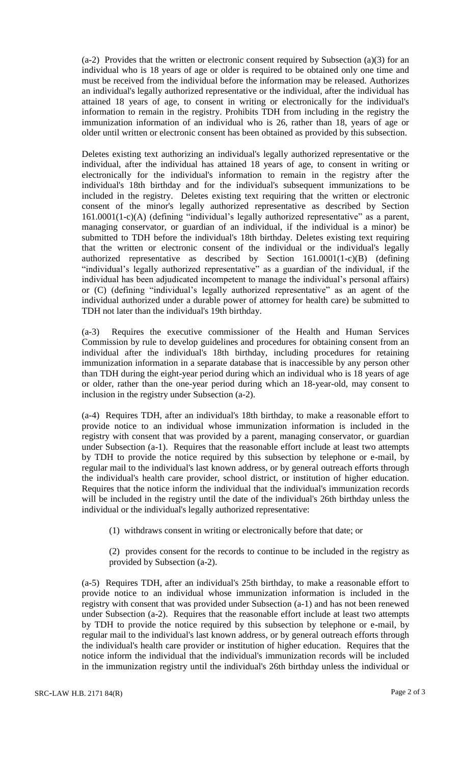(a-2) Provides that the written or electronic consent required by Subsection (a)(3) for an individual who is 18 years of age or older is required to be obtained only one time and must be received from the individual before the information may be released. Authorizes an individual's legally authorized representative or the individual, after the individual has attained 18 years of age, to consent in writing or electronically for the individual's information to remain in the registry. Prohibits TDH from including in the registry the immunization information of an individual who is 26, rather than 18, years of age or older until written or electronic consent has been obtained as provided by this subsection.

Deletes existing text authorizing an individual's legally authorized representative or the individual, after the individual has attained 18 years of age, to consent in writing or electronically for the individual's information to remain in the registry after the individual's 18th birthday and for the individual's subsequent immunizations to be included in the registry. Deletes existing text requiring that the written or electronic consent of the minor's legally authorized representative as described by Section 161.0001(1-c)(A) (defining "individual's legally authorized representative" as a parent, managing conservator, or guardian of an individual, if the individual is a minor) be submitted to TDH before the individual's 18th birthday. Deletes existing text requiring that the written or electronic consent of the individual or the individual's legally authorized representative as described by Section 161.0001(1-c)(B) (defining "individual's legally authorized representative" as a guardian of the individual, if the individual has been adjudicated incompetent to manage the individual's personal affairs) or (C) (defining "individual's legally authorized representative" as an agent of the individual authorized under a durable power of attorney for health care) be submitted to TDH not later than the individual's 19th birthday.

(a-3) Requires the executive commissioner of the Health and Human Services Commission by rule to develop guidelines and procedures for obtaining consent from an individual after the individual's 18th birthday, including procedures for retaining immunization information in a separate database that is inaccessible by any person other than TDH during the eight-year period during which an individual who is 18 years of age or older, rather than the one-year period during which an 18-year-old, may consent to inclusion in the registry under Subsection (a-2).

(a-4) Requires TDH, after an individual's 18th birthday, to make a reasonable effort to provide notice to an individual whose immunization information is included in the registry with consent that was provided by a parent, managing conservator, or guardian under Subsection (a-1). Requires that the reasonable effort include at least two attempts by TDH to provide the notice required by this subsection by telephone or e-mail, by regular mail to the individual's last known address, or by general outreach efforts through the individual's health care provider, school district, or institution of higher education. Requires that the notice inform the individual that the individual's immunization records will be included in the registry until the date of the individual's 26th birthday unless the individual or the individual's legally authorized representative:

(1) withdraws consent in writing or electronically before that date; or

(2) provides consent for the records to continue to be included in the registry as provided by Subsection (a-2).

(a-5) Requires TDH, after an individual's 25th birthday, to make a reasonable effort to provide notice to an individual whose immunization information is included in the registry with consent that was provided under Subsection (a-1) and has not been renewed under Subsection (a-2). Requires that the reasonable effort include at least two attempts by TDH to provide the notice required by this subsection by telephone or e-mail, by regular mail to the individual's last known address, or by general outreach efforts through the individual's health care provider or institution of higher education. Requires that the notice inform the individual that the individual's immunization records will be included in the immunization registry until the individual's 26th birthday unless the individual or